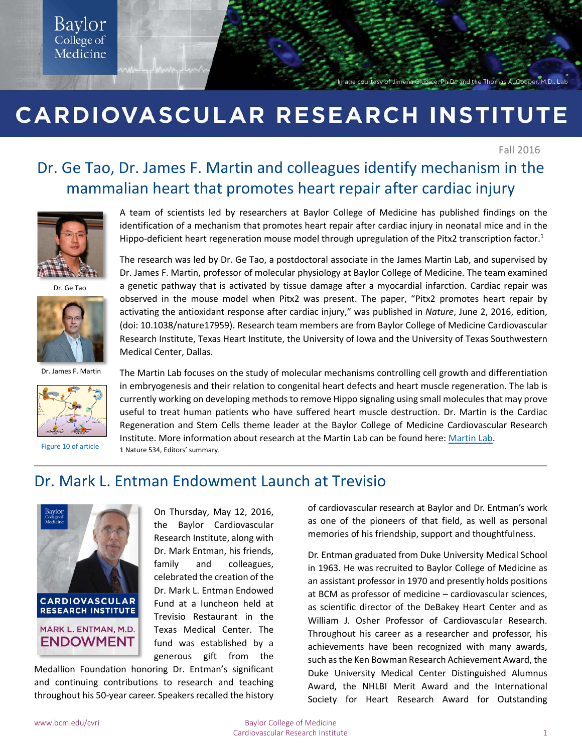#### Baylor College of Medicine

Image courtesy of Jimena Gludice, Ph.D., and the Thomas A. Cooper, M.D., Lab

## CARDIOVASCULAR RESEARCH INSTITUTE

Fall 2016

### Dr. Ge Tao, Dr. James F. Martin and colleagues identify mechanism in the mammalian heart that promotes heart repair after cardiac injury



Dr. Ge Tao



Dr. James F. Martin



[Figure 10 of article](http://www.nature.com/nature/journal/v534/n7605/fig_tab/nature17959_SF10.html)

A team of scientists led by researchers at Baylor College of Medicine has published findings on the identification of a mechanism that promotes heart repair after cardiac injury in neonatal mice and in the Hippo-deficient heart regeneration mouse model through upregulation of the Pitx2 transcription factor.<sup>1</sup>

The research was led by Dr. Ge Tao, a postdoctoral associate in the James Martin Lab, and supervised by Dr. James F. Martin, professor of molecular physiology at Baylor College of Medicine. The team examined a genetic pathway that is activated by tissue damage after a myocardial infarction. Cardiac repair was observed in the mouse model when Pitx2 was present. The paper, "Pitx2 promotes heart repair by activating the antioxidant response after cardiac injury," was published in *Nature*, June 2, 2016, edition, (doi: 10.1038/nature17959). Research team members are from Baylor College of Medicine Cardiovascular Research Institute, Texas Heart Institute, the University of Iowa and the University of Texas Southwestern Medical Center, Dallas.

The Martin Lab focuses on the study of molecular mechanisms controlling cell growth and differentiation in embryogenesis and their relation to congenital heart defects and heart muscle regeneration. The lab is currently working on developing methods to remove Hippo signaling using small molecules that may prove useful to treat human patients who have suffered heart muscle destruction. Dr. Martin is the Cardiac Regeneration and Stem Cells theme leader at the Baylor College of Medicine Cardiovascular Research Institute. More information about research at the Martin Lab can be found here: [Martin Lab.](https://www.bcm.edu/research/labs/james-martin) 1 Nature 534, Editors' summary.

### Dr. Mark L. Entman Endowment Launch at Trevisio



On Thursday, May 12, 2016, the Baylor Cardiovascular Research Institute, along with Dr. Mark Entman, his friends, family and colleagues, celebrated the creation of the Dr. Mark L. Entman Endowed Fund at a luncheon held at Trevisio Restaurant in the Texas Medical Center. The fund was established by a generous gift from the

Medallion Foundation honoring Dr. Entman's significant and continuing contributions to research and teaching throughout his 50-year career. Speakers recalled the history of cardiovascular research at Baylor and Dr. Entman's work as one of the pioneers of that field, as well as personal memories of his friendship, support and thoughtfulness.

Dr. Entman graduated from Duke University Medical School in 1963. He was recruited to Baylor College of Medicine as an assistant professor in 1970 and presently holds positions at BCM as professor of medicine – cardiovascular sciences, as scientific director of the DeBakey Heart Center and as William J. Osher Professor of Cardiovascular Research. Throughout his career as a researcher and professor, his achievements have been recognized with many awards, such as the Ken Bowman Research Achievement Award, the Duke University Medical Center Distinguished Alumnus Award, the NHLBI Merit Award and the International Society for Heart Research Award for Outstanding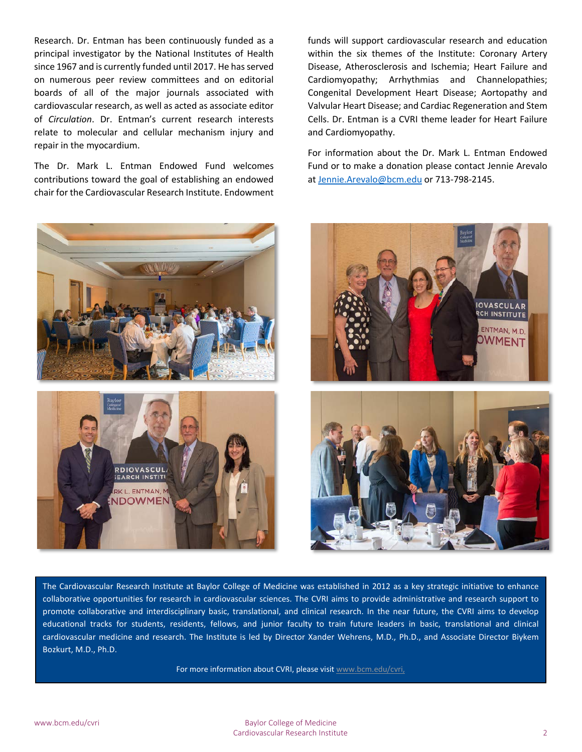Research. Dr. Entman has been continuously funded as a principal investigator by the National Institutes of Health since 1967 and is currently funded until 2017. He has served on numerous peer review committees and on editorial boards of all of the major journals associated with cardiovascular research, as well as acted as associate editor of *Circulation*. Dr. Entman's current research interests relate to molecular and cellular mechanism injury and repair in the myocardium.

The Dr. Mark L. Entman Endowed Fund welcomes contributions toward the goal of establishing an endowed chair for the Cardiovascular Research Institute. Endowment

funds will support cardiovascular research and education within the six themes of the Institute: Coronary Artery Disease, Atherosclerosis and Ischemia; Heart Failure and Cardiomyopathy; Arrhythmias and Channelopathies; Congenital Development Heart Disease; Aortopathy and Valvular Heart Disease; and Cardiac Regeneration and Stem Cells. Dr. Entman is a CVRI theme leader for Heart Failure and Cardiomyopathy.

For information about the Dr. Mark L. Entman Endowed Fund or to make a donation please contact Jennie Arevalo at [Jennie.Arevalo@bcm.edu](mailto:Jennie.Arevalo@bcm.edu) or 713-798-2145.





l



The Cardiovascular Research Institute at Baylor College of Medicine was established in 2012 as a key strategic initiative to enhance collaborative opportunities for research in cardiovascular sciences. The CVRI aims to provide administrative and research support to promote collaborative and interdisciplinary basic, translational, and clinical research. In the near future, the CVRI aims to develop educational tracks for students, residents, fellows, and junior faculty to train future leaders in basic, translational and clinical cardiovascular medicine and research. The Institute is led by Director Xander Wehrens, M.D., Ph.D., and Associate Director Biykem Bozkurt, M.D., Ph.D.

For more information about CVRI, please visit [www.bcm.edu/cvri,](http://www.bcm.edu/cvri)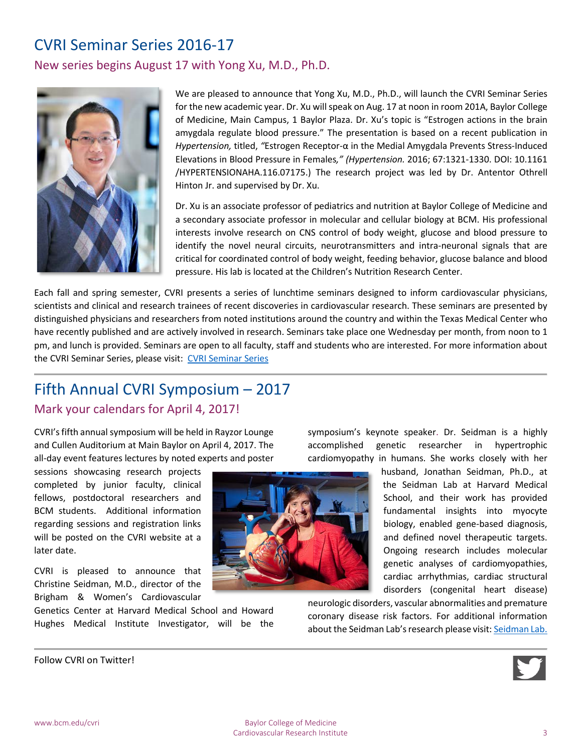### CVRI Seminar Series 2016-17

New series begins August 17 with Yong Xu, M.D., Ph.D.



We are pleased to announce that Yong Xu, M.D., Ph.D., will launch the CVRI Seminar Series for the new academic year. Dr. Xu will speak on Aug. 17 at noon in room 201A, Baylor College of Medicine, Main Campus, 1 Baylor Plaza. Dr. Xu's topic is "Estrogen actions in the brain amygdala regulate blood pressure." The presentation is based on a recent publication in *Hypertension,* titled, *"*Estrogen Receptor-α in the Medial Amygdala Prevents Stress-Induced Elevations in Blood Pressure in Females*," (Hypertension.* 2016; 67:1321-1330. DOI: 10.1161 /HYPERTENSIONAHA.116.07175.) The research project was led by Dr. Antentor Othrell Hinton Jr. and supervised by Dr. Xu.

Dr. Xu is an associate professor of pediatrics and nutrition at Baylor College of Medicine and a secondary associate professor in molecular and cellular biology at BCM. His professional interests involve research on CNS control of body weight, glucose and blood pressure to identify the novel neural circuits, neurotransmitters and intra-neuronal signals that are critical for coordinated control of body weight, feeding behavior, glucose balance and blood pressure. His lab is located at the Children's Nutrition Research Center.

Each fall and spring semester, CVRI presents a series of lunchtime seminars designed to inform cardiovascular physicians, scientists and clinical and research trainees of recent discoveries in cardiovascular research. These seminars are presented by distinguished physicians and researchers from noted institutions around the country and within the Texas Medical Center who have recently published and are actively involved in research. Seminars take place one Wednesday per month, from noon to 1 pm, and lunch is provided. Seminars are open to all faculty, staff and students who are interested. For more information about the CVRI Seminar Series, please visit: [CVRI Seminar Series](https://www.bcm.edu/research/centers/cardiovascular-research-institute/seminars)

### Fifth Annual CVRI Symposium – 2017

#### Mark your calendars for April 4, 2017!

CVRI's fifth annual symposium will be held in Rayzor Lounge and Cullen Auditorium at Main Baylor on April 4, 2017. The all-day event features lectures by noted experts and poster

sessions showcasing research projects completed by junior faculty, clinical fellows, postdoctoral researchers and BCM students. Additional information regarding sessions and registration links will be posted on the CVRI website at a later date.

CVRI is pleased to announce that Christine Seidman, M.D., director of the Brigham & Women's Cardiovascular

Genetics Center at Harvard Medical School and Howard Hughes Medical Institute Investigator, will be the symposium's keynote speaker. Dr. Seidman is a highly accomplished genetic researcher in hypertrophic cardiomyopathy in humans. She works closely with her

> husband, Jonathan Seidman, Ph.D., at the Seidman Lab at Harvard Medical School, and their work has provided fundamental insights into myocyte biology, enabled gene-based diagnosis, and defined novel therapeutic targets. Ongoing research includes molecular genetic analyses of cardiomyopathies, cardiac arrhythmias, cardiac structural disorders (congenital heart disease)

neurologic disorders, vascular abnormalities and premature coronary disease risk factors. For additional information about the Seidman Lab's research please visit[: Seidman Lab.](http://genetics.med.harvard.edu/seidman/?page_id=486)

Follow CVRI on Twitter!

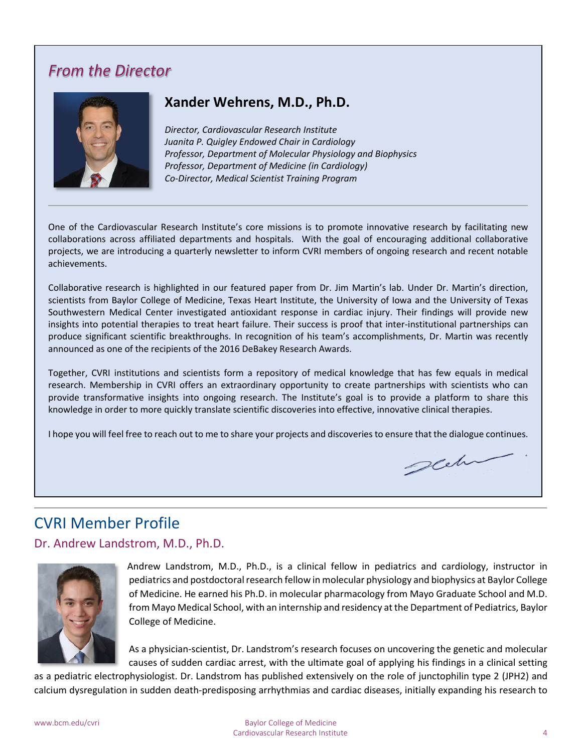### *From the Director*



#### **Xander Wehrens, M.D., Ph.D.**

*Director, Cardiovascular Research Institute Juanita P. Quigley Endowed Chair in Cardiology Professor, Department of Molecular Physiology and Biophysics Professor, Department of Medicine (in Cardiology) Co-Director, Medical Scientist Training Program*

One of the Cardiovascular Research Institute's core missions is to promote innovative research by facilitating new collaborations across affiliated departments and hospitals. With the goal of encouraging additional collaborative projects, we are introducing a quarterly newsletter to inform CVRI members of ongoing research and recent notable achievements.

Collaborative research is highlighted in our featured paper from Dr. Jim Martin's lab. Under Dr. Martin's direction, scientists from Baylor College of Medicine, Texas Heart Institute, the University of Iowa and the University of Texas Southwestern Medical Center investigated antioxidant response in cardiac injury. Their findings will provide new insights into potential therapies to treat heart failure. Their success is proof that inter-institutional partnerships can produce significant scientific breakthroughs. In recognition of his team's accomplishments, Dr. Martin was recently announced as one of the recipients of the 2016 DeBakey Research Awards.

Together, CVRI institutions and scientists form a repository of medical knowledge that has few equals in medical research. Membership in CVRI offers an extraordinary opportunity to create partnerships with scientists who can provide transformative insights into ongoing research. The Institute's goal is to provide a platform to share this knowledge in order to more quickly translate scientific discoveries into effective, innovative clinical therapies.

I hope you will feel free to reach out to me to share your projects and discoveries to ensure that the dialogue continues.

# glehr

### CVRI Member Profile

Dr. Andrew Landstrom, M.D., Ph.D.



Andrew Landstrom, M.D., Ph.D., is a clinical fellow in pediatrics and cardiology, instructor in pediatrics and postdoctoral research fellow in molecular physiology and biophysics at Baylor College of Medicine. He earned his Ph.D. in molecular pharmacology from Mayo Graduate School and M.D. from Mayo Medical School, with an internship and residency at the Department of Pediatrics, Baylor College of Medicine.

As a physician-scientist, Dr. Landstrom's research focuses on uncovering the genetic and molecular causes of sudden cardiac arrest, with the ultimate goal of applying his findings in a clinical setting

as a pediatric electrophysiologist. Dr. Landstrom has published extensively on the role of junctophilin type 2 (JPH2) and calcium dysregulation in sudden death-predisposing arrhythmias and cardiac diseases, initially expanding his research to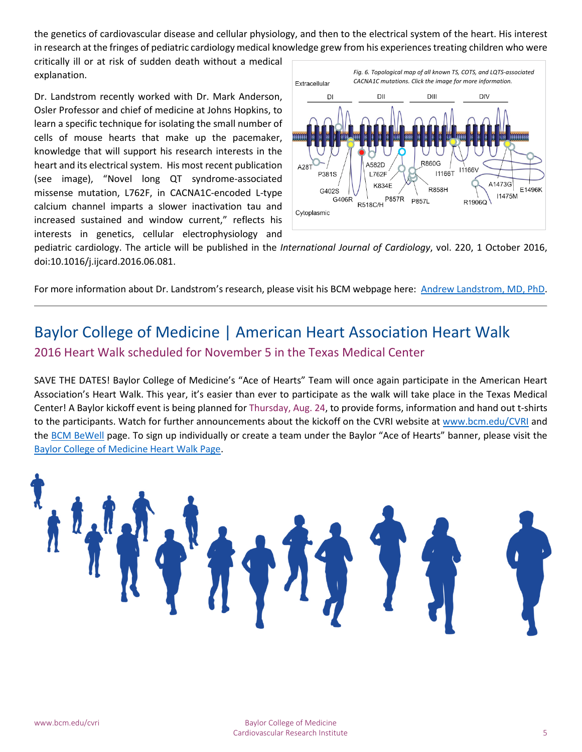the genetics of cardiovascular disease and cellular physiology, and then to the electrical system of the heart. His interest in research at the fringes of pediatric cardiology medical knowledge grew from his experiences treating children who were

critically ill or at risk of sudden death without a medical explanation.

Dr. Landstrom recently worked with Dr. Mark Anderson, Osler Professor and chief of medicine at Johns Hopkins, to learn a specific technique for isolating the small number of cells of mouse hearts that make up the pacemaker, knowledge that will support his research interests in the heart and its electrical system. His most recent publication (see image), ["Novel long QT syndrome-associated](http://www.sciencedirect.com.ezproxyhost.library.tmc.edu/science/article/pii/S0167527316310877)  [missense mutation, L762F, in CACNA1C-encoded L-type](http://www.sciencedirect.com.ezproxyhost.library.tmc.edu/science/article/pii/S0167527316310877)  [calcium channel imparts a slower inactivation tau and](http://www.sciencedirect.com.ezproxyhost.library.tmc.edu/science/article/pii/S0167527316310877)  [increased sustained and window current,"](http://www.sciencedirect.com.ezproxyhost.library.tmc.edu/science/article/pii/S0167527316310877) reflects his interests in genetics, cellular electrophysiology and



pediatric cardiology. The article will be published in the *International Journal of Cardiology*, vol. 220, 1 October 2016, doi:10.1016/j.ijcard.2016.06.081.

For more information about Dr. Landstrom's research, please visit his BCM webpage here: [Andrew Landstrom, MD, PhD.](https://www.bcm.edu/people/view/andrew-landstrom-m-d-ph-d/b1f2ecb9-ffed-11e2-be68-080027880ca6)

### Baylor College of Medicine | American Heart Association Heart Walk 2016 Heart Walk scheduled for November 5 in the Texas Medical Center

SAVE THE DATES! Baylor College of Medicine's "Ace of Hearts" Team will once again participate in the American Heart Association's Heart Walk. This year, it's easier than ever to participate as the walk will take place in the Texas Medical Center! A Baylor kickoff event is being planned for Thursday, Aug. 24, to provide forms, information and hand out t-shirts to the participants. Watch for further announcements about the kickoff on the CVRI website at [www.bcm.edu/CVRI](http://www.bcm.edu/CVRI) and the [BCM BeWell](https://www.bcm.edu/careers/benefits/bcm-bewell) page. To sign up individually or create a team under the Baylor "Ace of Hearts" banner, please visit the [Baylor College of Medicine Heart Walk Page.](http://www.kintera.org/faf/teams/groupTeamList.asp?ievent=1152412&lis=1&kntae1152412=347F2C1414FC4217BC2C08DD17719009&tlteams=6727332)

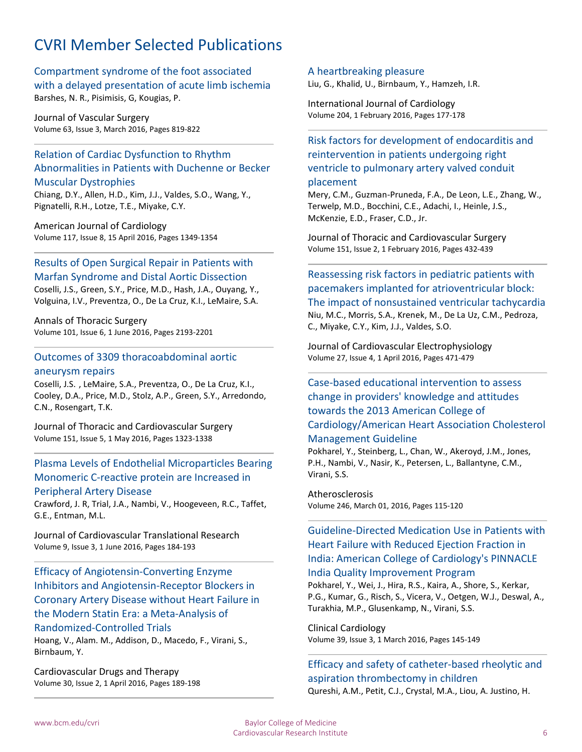### CVRI Member Selected Publications

[Compartment syndrome of the foot associated](https://www.scopus.com/inward/record.uri?eid=2-s2.0-84959486647&partnerID=40&md5=ccfcb483c83405b9e487e0d940e5f220)  [with a delayed presentation of acute limb ischemia](https://www.scopus.com/inward/record.uri?eid=2-s2.0-84959486647&partnerID=40&md5=ccfcb483c83405b9e487e0d940e5f220) Barshes, N. R., Pisimisis, G, Kougias, P.

Journal of Vascular Surgery Volume 63, Issue 3, March 2016, Pages 819-822

#### [Relation of Cardiac Dysfunction to Rhythm](https://www.scopus.com/inward/record.uri?eid=2-s2.0-84959512396&partnerID=40&md5=57c8537fe9827bfb5b5227ee11b49038) [Abnormalities in Patients with Duchenne or Becker](https://www.scopus.com/inward/record.uri?eid=2-s2.0-84959512396&partnerID=40&md5=57c8537fe9827bfb5b5227ee11b49038)  [Muscular Dystrophies](https://www.scopus.com/inward/record.uri?eid=2-s2.0-84959512396&partnerID=40&md5=57c8537fe9827bfb5b5227ee11b49038)

Chiang, D.Y., Allen, H.D., Kim, J.J., Valdes, S.O., Wang, Y., Pignatelli, R.H., Lotze, T.E., Miyake, C.Y.

American Journal of Cardiology Volume 117, Issue 8, 15 April 2016, Pages 1349-1354

[Results of Open Surgical Repair in Patients with](https://www.scopus.com/inward/record.uri?eid=2-s2.0-84957670113&partnerID=40&md5=a821f05f6a86b69636a69c388ef2c515)  [Marfan Syndrome and Distal Aortic Dissection](https://www.scopus.com/inward/record.uri?eid=2-s2.0-84957670113&partnerID=40&md5=a821f05f6a86b69636a69c388ef2c515)

Coselli, J.S., Green, S.Y., Price, M.D., Hash, J.A., Ouyang, Y., Volguina, I.V., Preventza, O., De La Cruz, K.I., LeMaire, S.A.

Annals of Thoracic Surgery Volume 101, Issue 6, 1 June 2016, Pages 2193-2201

#### [Outcomes of 3309 thoracoabdominal aortic](https://www.scopus.com/inward/record.uri?eid=2-s2.0-84963700107&partnerID=40&md5=368ebe6c5161bd6fce3bbac7e6c5133a)  [aneurysm repairs](https://www.scopus.com/inward/record.uri?eid=2-s2.0-84963700107&partnerID=40&md5=368ebe6c5161bd6fce3bbac7e6c5133a)

Coselli, J.S. , LeMaire, S.A., Preventza, O., De La Cruz, K.I., Cooley, D.A., Price, M.D., Stolz, A.P., Green, S.Y., Arredondo, C.N., Rosengart, T.K.

Journal of Thoracic and Cardiovascular Surgery Volume 151, Issue 5, 1 May 2016, Pages 1323-1338

#### [Plasma Levels of Endothelial Microparticles Bearing](https://www.scopus.com/inward/record.uri?eid=2-s2.0-84958749791&partnerID=40&md5=c1cfbaf8bbc7c67c2e1287ebd2f80ff9)  [Monomeric C-reactive protein are Increased in](https://www.scopus.com/inward/record.uri?eid=2-s2.0-84958749791&partnerID=40&md5=c1cfbaf8bbc7c67c2e1287ebd2f80ff9)  [Peripheral Artery Disease](https://www.scopus.com/inward/record.uri?eid=2-s2.0-84958749791&partnerID=40&md5=c1cfbaf8bbc7c67c2e1287ebd2f80ff9)

Crawford, J. R, Trial, J.A., Nambi, V., Hoogeveen, R.C., Taffet, G.E., Entman, M.L.

Journal of Cardiovascular Translational Research Volume 9, Issue 3, 1 June 2016, Pages 184-193

[Efficacy of Angiotensin-Converting Enzyme](https://www.scopus.com/inward/record.uri?eid=2-s2.0-84957645131&partnerID=40&md5=1ff246f32e361003b1363437c57ad45f)  [Inhibitors and Angiotensin-Receptor Blockers in](https://www.scopus.com/inward/record.uri?eid=2-s2.0-84957645131&partnerID=40&md5=1ff246f32e361003b1363437c57ad45f)  [Coronary Artery Disease without Heart Failure in](https://www.scopus.com/inward/record.uri?eid=2-s2.0-84957645131&partnerID=40&md5=1ff246f32e361003b1363437c57ad45f)  [the Modern Statin Era: a Meta-Analysis of](https://www.scopus.com/inward/record.uri?eid=2-s2.0-84957645131&partnerID=40&md5=1ff246f32e361003b1363437c57ad45f)  [Randomized-Controlled Trials](https://www.scopus.com/inward/record.uri?eid=2-s2.0-84957645131&partnerID=40&md5=1ff246f32e361003b1363437c57ad45f)

Hoang, V., Alam. M., Addison, D., Macedo, F., Virani, S., Birnbaum, Y.

Cardiovascular Drugs and Therapy Volume 30, Issue 2, 1 April 2016, Pages 189-198

#### [A heartbreaking pleasure](https://www.scopus.com/inward/record.uri?eid=2-s2.0-84955312126&partnerID=40&md5=494450cf7951960bf287abebc35ea3b7)

Liu, G., Khalid, U., Birnbaum, Y., Hamzeh, I.R.

International Journal of Cardiology Volume 204, 1 February 2016, Pages 177-178

#### [Risk factors for development of endocarditis and](https://www.scopus.com/inward/record.uri?eid=2-s2.0-84957455125&partnerID=40&md5=a8bff57582ee921afbd6d6ecfe40fb37)  reintervention [in patients undergoing right](https://www.scopus.com/inward/record.uri?eid=2-s2.0-84957455125&partnerID=40&md5=a8bff57582ee921afbd6d6ecfe40fb37)  [ventricle to pulmonary artery valved conduit](https://www.scopus.com/inward/record.uri?eid=2-s2.0-84957455125&partnerID=40&md5=a8bff57582ee921afbd6d6ecfe40fb37)

#### [placement](https://www.scopus.com/inward/record.uri?eid=2-s2.0-84957455125&partnerID=40&md5=a8bff57582ee921afbd6d6ecfe40fb37)

Mery, C.M., Guzman-Pruneda, F.A., De Leon, L.E., Zhang, W., Terwelp, M.D., Bocchini, C.E., Adachi, I., Heinle, J.S., McKenzie, E.D., Fraser, C.D., Jr.

Journal of Thoracic and Cardiovascular Surgery Volume 151, Issue 2, 1 February 2016, Pages 432-439

[Reassessing risk factors in pediatric patients with](https://www.scopus.com/inward/record.uri?eid=2-s2.0-84958786964&partnerID=40&md5=4cd34c99a06342b424a3788fa7a7a61c)  [pacemakers implanted for atrioventricular block:](https://www.scopus.com/inward/record.uri?eid=2-s2.0-84958786964&partnerID=40&md5=4cd34c99a06342b424a3788fa7a7a61c)  [The impact of nonsustained ventricular tachycardia](https://www.scopus.com/inward/record.uri?eid=2-s2.0-84958786964&partnerID=40&md5=4cd34c99a06342b424a3788fa7a7a61c) Niu, M.C., Morris, S.A., Krenek, M., De La Uz, C.M., Pedroza, C., Miyake, C.Y., Kim, J.J., Valdes, S.O.

Journal of Cardiovascular Electrophysiology Volume 27, Issue 4, 1 April 2016, Pages 471-479

#### [Case-based educational intervention to assess](https://www.scopus.com/inward/record.uri?eid=2-s2.0-84953924192&partnerID=40&md5=bff8bfea1fcdf8fde9266e3615edc7cf)  [change in providers' knowledge](https://www.scopus.com/inward/record.uri?eid=2-s2.0-84953924192&partnerID=40&md5=bff8bfea1fcdf8fde9266e3615edc7cf) and attitudes [towards the 2013 American College of](https://www.scopus.com/inward/record.uri?eid=2-s2.0-84953924192&partnerID=40&md5=bff8bfea1fcdf8fde9266e3615edc7cf)  [Cardiology/American Heart Association Cholesterol](https://www.scopus.com/inward/record.uri?eid=2-s2.0-84953924192&partnerID=40&md5=bff8bfea1fcdf8fde9266e3615edc7cf)  [Management Guideline](https://www.scopus.com/inward/record.uri?eid=2-s2.0-84953924192&partnerID=40&md5=bff8bfea1fcdf8fde9266e3615edc7cf)

Pokharel, Y., Steinberg, L., Chan, W., Akeroyd, J.M., Jones, P.H., Nambi, V., Nasir, K., Petersen, L., Ballantyne, C.M., Virani, S.S.

Atherosclerosis Volume 246, March 01, 2016, Pages 115-120

#### [Guideline-Directed Medication Use in Patients with](https://www.scopus.com/inward/record.uri?eid=2-s2.0-84959081362&partnerID=40&md5=5be3dbfd5ff6230a8ed28db692ce9f37)  [Heart Failure with Reduced Ejection Fraction in](https://www.scopus.com/inward/record.uri?eid=2-s2.0-84959081362&partnerID=40&md5=5be3dbfd5ff6230a8ed28db692ce9f37)  [India: American College of Cardiology's PINNACLE](https://www.scopus.com/inward/record.uri?eid=2-s2.0-84959081362&partnerID=40&md5=5be3dbfd5ff6230a8ed28db692ce9f37)  [India Quality Improvement Program](https://www.scopus.com/inward/record.uri?eid=2-s2.0-84959081362&partnerID=40&md5=5be3dbfd5ff6230a8ed28db692ce9f37)

Pokharel, Y., Wei, J., Hira, R.S., Kaira, A., Shore, S., Kerkar, P.G., Kumar, G., Risch, S., Vicera, V., Oetgen, W.J., Deswal, A., Turakhia, M.P., Glusenkamp, N., Virani, S.S.

Clinical Cardiology Volume 39, Issue 3, 1 March 2016, Pages 145-149

#### [Efficacy and safety of catheter-based rheolytic and](https://www.scopus.com/inward/record.uri?eid=2-s2.0-84975129647&partnerID=40&md5=d9cee66c1cfafc8413bf4b321e163e57)  [aspiration thrombectomy in children](https://www.scopus.com/inward/record.uri?eid=2-s2.0-84975129647&partnerID=40&md5=d9cee66c1cfafc8413bf4b321e163e57) Qureshi, A.M., Petit, C.J., Crystal, M.A., Liou, A. Justino, H.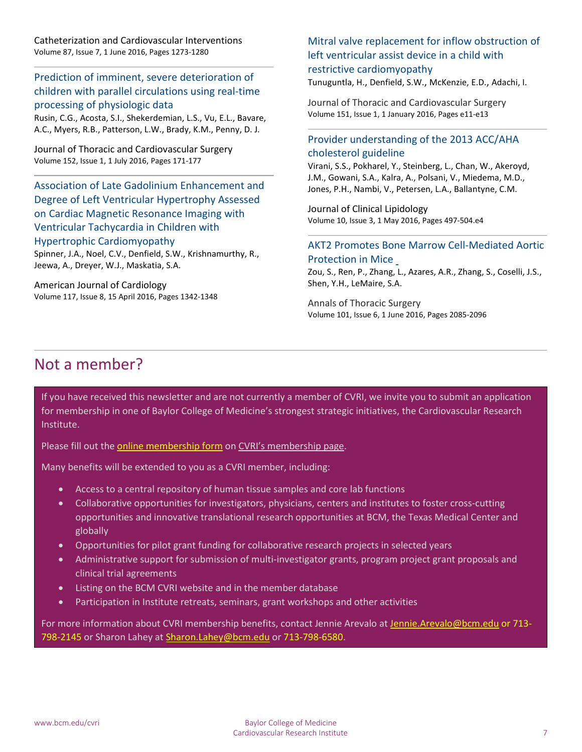Catheterization and Cardiovascular Interventions Volume 87, Issue 7, 1 June 2016, Pages 1273-1280

[Prediction of imminent, severe deterioration of](https://www.scopus.com/inward/record.uri?eid=2-s2.0-84975148257&partnerID=40&md5=9fb599d2b4421efb84ff50557b244937)  [children with parallel circulations using real-time](https://www.scopus.com/inward/record.uri?eid=2-s2.0-84975148257&partnerID=40&md5=9fb599d2b4421efb84ff50557b244937)  [processing of physiologic data](https://www.scopus.com/inward/record.uri?eid=2-s2.0-84975148257&partnerID=40&md5=9fb599d2b4421efb84ff50557b244937)

Rusin, C.G., Acosta, S.I., Shekerdemian, L.S., Vu, E.L., Bavare, A.C., Myers, R.B., Patterson, L.W., Brady, K.M., Penny, D. J.

Journal of Thoracic and Cardiovascular Surgery Volume 152, Issue 1, 1 July 2016, Pages 171-177

[Association of Late Gadolinium Enhancement and](https://www.scopus.com/inward/record.uri?eid=2-s2.0-84958280645&partnerID=40&md5=5e63b39460f9d52affaa75b1d77a4526)  [Degree of Left Ventricular Hypertrophy Assessed](https://www.scopus.com/inward/record.uri?eid=2-s2.0-84958280645&partnerID=40&md5=5e63b39460f9d52affaa75b1d77a4526)  [on Cardiac Magnetic Resonance Imaging with](https://www.scopus.com/inward/record.uri?eid=2-s2.0-84958280645&partnerID=40&md5=5e63b39460f9d52affaa75b1d77a4526)  [Ventricular Tachycardia in Children with](https://www.scopus.com/inward/record.uri?eid=2-s2.0-84958280645&partnerID=40&md5=5e63b39460f9d52affaa75b1d77a4526)  [Hypertrophic Cardiomyopathy](https://www.scopus.com/inward/record.uri?eid=2-s2.0-84958280645&partnerID=40&md5=5e63b39460f9d52affaa75b1d77a4526) Spinner, J.A., Noel, C.V., Denfield, S.W., Krishnamurthy, R., Jeewa, A., Dreyer, W.J., Maskatia, S.A.

American Journal of Cardiology Volume 117, Issue 8, 15 April 2016, Pages 1342-1348

#### [Mitral valve replacement for inflow obstruction of](https://www.scopus.com/inward/record.uri?eid=2-s2.0-84959370918&partnerID=40&md5=4c7f2e5aa8ffea8e6eee3faea86ed933)  [left ventricular assist device in a child with](https://www.scopus.com/inward/record.uri?eid=2-s2.0-84959370918&partnerID=40&md5=4c7f2e5aa8ffea8e6eee3faea86ed933)  [restrictive cardiomyopathy](https://www.scopus.com/inward/record.uri?eid=2-s2.0-84959370918&partnerID=40&md5=4c7f2e5aa8ffea8e6eee3faea86ed933)

Tunuguntla, H., Denfield, S.W., McKenzie, E.D., Adachi, I.

Journal of Thoracic and Cardiovascular Surgery Volume 151, Issue 1, 1 January 2016, Pages e11-e13

#### [Provider understanding of the 2013 ACC/AHA](https://www.scopus.com/inward/record.uri?eid=2-s2.0-84950119968&partnerID=40&md5=72c4d2fecb5df016cc7071e1c977de73)  [cholesterol guideline](https://www.scopus.com/inward/record.uri?eid=2-s2.0-84950119968&partnerID=40&md5=72c4d2fecb5df016cc7071e1c977de73)

Virani, S.S., Pokharel, Y., Steinberg, L., Chan, W., Akeroyd, J.M., Gowani, S.A., Kalra, A., Polsani, V., Miedema, M.D., Jones, P.H., Nambi, V., Petersen, L.A., Ballantyne, C.M.

Journal of Clinical Lipidology Volume 10, Issue 3, 1 May 2016, Pages 497-504.e4

#### [AKT2 Promotes Bone Marrow Cell-Mediated Aortic](https://www.scopus.com/inward/record.uri?eid=2-s2.0-84963680081&partnerID=40&md5=744c70d8abe0e843051dcf4728741987)  [Protection in Mice](https://www.scopus.com/inward/record.uri?eid=2-s2.0-84963680081&partnerID=40&md5=744c70d8abe0e843051dcf4728741987)

Zou, S., Ren, P., Zhang, L., Azares, A.R., Zhang, S., Coselli, J.S., Shen, Y.H., LeMaire, S.A.

Annals of Thoracic Surgery Volume 101, Issue 6, 1 June 2016, Pages 2085-2096

### Not a member?

If you have received this newsletter and are not currently a member of CVRI, we invite you to submit an application for membership in one of Baylor College of Medicine's strongest strategic initiatives, the Cardiovascular Research Institute.

Please fill out the [online membership form](https://ictr.research.bcm.edu/R5T80IF3WH2/CVRIMembershipApp/CVRIMembershipApplication.aspx) on [CVRI's membership page.](https://www.bcm.edu/research/centers/cardiovascular-research-institute/membership)

Many benefits will be extended to you as a CVRI member, including:

- Access to a central repository of human tissue samples and core lab functions
- Collaborative opportunities for investigators, physicians, centers and institutes to foster cross-cutting opportunities and innovative translational research opportunities at BCM, the Texas Medical Center and globally
- Opportunities for pilot grant funding for collaborative research projects in selected years
- Administrative support for submission of multi-investigator grants, program project grant proposals and clinical trial agreements
- Listing on the BCM CVRI website and in the member database
- Participation in Institute retreats, seminars, grant workshops and other activities

For more information about CVRI membership benefits, contact Jennie Arevalo at [Jennie.Arevalo@bcm.edu](mailto:Jennie.Arevalo@bcm.edu) or 713-798-2145 or Sharon Lahey at [Sharon.Lahey@bcm.edu](mailto:Sharon.Lahey@bcm.edu) or 713-798-6580.